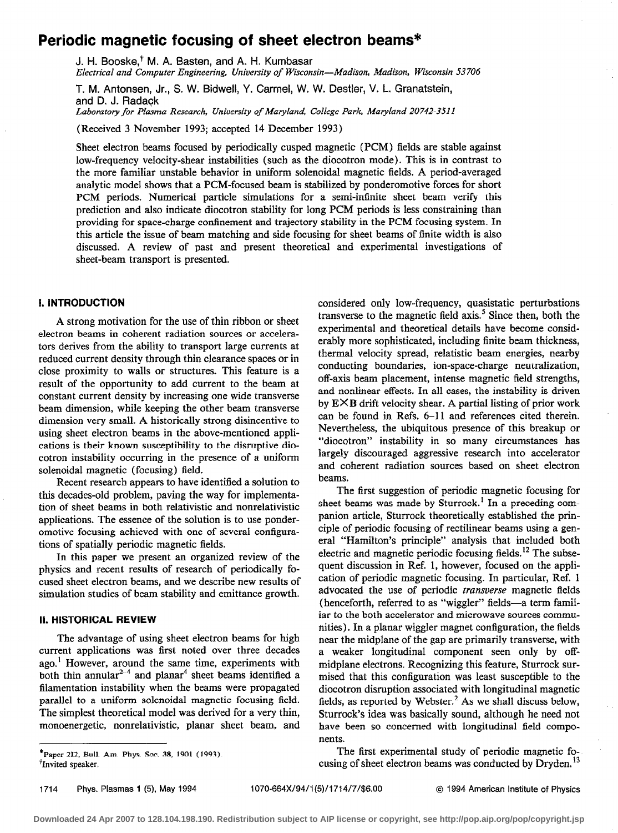# Periodic magnetic focusing of sheet electron beams\*

J. H. Booske,<sup>†</sup> M. A. Basten, and A. H. Kumbasar

Electrical and Computer Engineering, University of Wisconsin--Madison, Madison, Wisconsin 53 706

T. M. Antonsen, Jr., S. W. Bidwell, Y. Carmel, W. W. Destler, V. L. Granatstein, and D. J. Radack

Laboratory for Plasma Research, University of Maryland, Coiiege Park, Maryland 20742-3511

(Received 3 November 1993; accepted 14 December 1993)

Sheet electron beams focused by periodically cusped magnetic (PCM ) fields are stable against low-frequency velocity-shear instabilities (such as the diocotron mode). This is in contrast to the more familiar unstable behavior in uniform solenoidal magnetic fields. A period-averaged analytic model shows that a PCM-focused beam is stabilized by ponderomotive forces for short PCM periods. Numerical particle simulations for a semi-infinite sheet beam verify this prediction and also indicate diocotron stability for long PCM periods is less constraining than providing for space-charge confinement and trajectory stability in the PCM focusing system. In this article the issue of beam matching and side focusing for sheet beams of finite width is also discussed. A review of past and present theoretical and experimental investigations of sheet-beam transport is presented.

# **I. INTRODUCTION**

A strong motivation for the use of thin ribbon or sheet electron beams in coherent radiation sources or accelerators derives from the ability to transport large currents at reduced current density through thin clearance spaces or in close proximity to walls or structures. This feature is a result of the opportunity to add current to the beam at constant current density by increasing one wide transverse beam dimension, while keeping the other beam transverse dimension very small. A historically strong disincentive to using sheet electron beams in the above-mentioned applications is their known susceptibility to the disruptive diocotron instability occurring in the presence of a uniform solenoidal magnetic (focusing) field.

Recent research appears to have identified a solution to this decades-old problem, paving the way for implementation of sheet beams in both relativistic and nonrelativistic applications. The essence of the solution is to use ponderomotive focusing achieved with one of several configurations of spatially periodic magnetic fields.

In this paper we present an organized review of the physics and recent results of research of periodically focused sheet electron beams, and we describe new results of simulation studies of beam stability and emittance growth.

# II. HISTORICAL REVIEW

The advantage of using sheet electron beams for high current applications was first noted over three decades ago.<sup>1</sup> However, around the same time, experiments with both thin annular<sup>2-4</sup> and planar<sup>4</sup> sheet beams identified a filamentation instability when the beams were propagated parallel to a uniform solenoidal magnetic focusing field. The simplest theoretical model was derived for a very thin, monoenergetic, nonrelativistic, planar sheet beam, and considered only low-frequency, quasistatic perturbations transverse to the magnetic field  $axis$ <sup>5</sup>. Since then, both the experimental and theoretical details have become considerably more sophisticated, including finite beam thickness, thermal velocity spread, relatistic beam energies, nearby conducting boundaries, ion-space-charge neutralization, off-axis beam placement, intense magnetic field strengths, and nonlinear effects. In all cases, the instability is driven by  $E \times B$  drift velocity shear. A partial listing of prior work can be found in Refs. 6-11 and references cited therein. Nevertheless, the ubiquitous presence of this breakup or "diocotron" instability in so many circumstances has largely discouraged aggressive research into accelerator and coherent radiation sources based on sheet electron beams.

The first suggestion of periodic magnetic focusing for sheet beams was made by Sturrock.<sup>1</sup> In a preceding companion article, Sturrock theoretically established the principle of periodic focusing of rectilinear beams using a general "Hamilton's principle" analysis that included both electric and magnetic periodic focusing fields.<sup>12</sup> The subsequent discussion in Ref. 1, however, focused on the application of periodic magnetic focusing. In particular, Ref. 1 advocated the use of periodic transverse magnetic fields (henceforth, referred to as "wiggler" fields-a term familiar to the both accelerator and microwave sources communities) . In a planar wiggler magnet configuration, the fields near the midplane of the gap are primarily transverse, with a weaker longitudinal component seen only by offmidplane electrons. Recognizing this feature, Sturrock surmised that this configuration was least susceptible to the diocotron disruption associated with longitudinal magnetic fields, as reported by Webster.<sup>2</sup> As we shall discuss below, Sturrock's idea was basically sound, although he need not have been so concerned with longitudinal field components.

The first experimental study of periodic magnetic focusing of sheet electron beams was conducted by Dryden.<sup>13</sup>

1714 Phys. Plasmas 1 (5), May 1994 1070-664X/94/1 (5)/1714/7/\$6.00 @ 1994 American Institute of Physics

<sup>\*</sup>Paper 212, Bull. Am. Phys. Soc. 38, 1901 (1993). 'Invited speaker.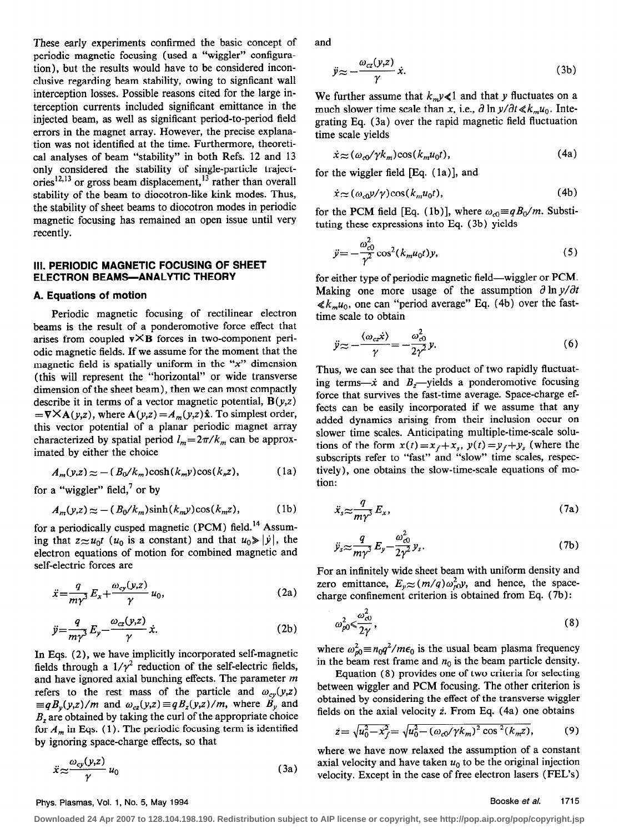These early experiments confirmed the basic concept of periodic magnetic focusing (used a "wiggler" configuration), but the results would have to be considered inconclusive regarding beam stability, owing to signficant wall interception losses. Possible reasons cited for the large interception currents included significant emittance in the injected beam, as well as significant period-to-period field errors in the magnet array. However, the precise explanation was not identified at the time. Furthermore, theoretical analyses of beam "stability" in both Refs. 12 and 13 only considered the stability of single-particle trajectories<sup>12,13</sup> or gross beam displacement,<sup>13</sup> rather than overall stability of the beam to diocotron-like kink modes. Thus, the stability of sheet beams to diocotron modes in periodic magnetic focusing has remained an open issue until very recently.

# III. PERIODIC MAGNETIC FOCUSING OF SHEET ELECTRON BEAMS-ANALYTIC THEORY

# A. Equations of motion

Periodic magnetic focusing of rectilinear electron beams is the result of a ponderomotive force effect that arises from coupled  $v \times B$  forces in two-component periodic magnetic fields. If we assume for the moment that the magnetic field is spatially uniform in the " $x$ " dimension (this will represent the "horizontal" or wide transverse dimension of the sheet beam), then we can most compactly describe it in terms of a vector magnetic potential,  $B(y,z)$  $=\nabla \times A(y,z)$ , where  $A(y,z) = A_m(y,z) \hat{x}$ . To simplest order, this vector potential of a planar periodic magnet array characterized by spatial period  $l_m=2\pi/k_m$  can be approximated by either the choice

$$
A_m(y,z) \approx -\left(B_0/k_m\right)\cosh(k_m y)\cos(k_n z),\tag{1a}
$$

for a "wiggler" field, $\overline{a}$  or by

$$
A_m(y,z) \approx -\left(B_0/k_m\right)\sinh(k_m y)\cos(k_m z),\tag{1b}
$$

for a periodically cusped magnetic (PCM) field.<sup>14</sup> Assuming that  $z \approx u_0 t$  ( $u_0$  is a constant) and that  $u_0 \gg |\dot{y}|$ , the electron equations of motion for combined magnetic and self-electric forces are

$$
\ddot{x} = \frac{q}{m\gamma^3} E_x + \frac{\omega_{cy}(y,z)}{\gamma} u_0, \tag{2a}
$$

$$
\ddot{y} = \frac{q}{m\gamma^3} E_y - \frac{\omega_{cz}(y,z)}{\gamma} \dot{x}.
$$
 (2b)

In Eqs. (2), we have implicitly incorporated self-magnetic fields through a  $1/\gamma^2$  reduction of the self-electric fields, and have ignored axial bunching effects. The parameter  $m$ refers to the rest mass of the particle and  $\omega_{cy}(y,z)$  $\equiv qB_y(y,z)/m$  and  $\omega_{cz}(y,z) \equiv qB_z(y,z)/m$ , where  $B_y$  and  $B<sub>z</sub>$  are obtained by taking the curl of the appropriate choice for  $A_m$  in Eqs. (1). The periodic focusing term is identified by ignoring space-charge effects, so that

$$
\ddot{x} \approx \frac{\omega_{cy}(y,z)}{\gamma} u_0 \tag{3a}
$$

and

$$
\ddot{y} \approx -\frac{\omega_{cz}(y,z)}{\gamma} \dot{x}.\tag{3b}
$$

We further assume that  $k_m y \ll 1$  and that y fluctuates on a much slower time scale than x, i.e.,  $\partial \ln y / \partial t \ll k_m u_0$ . Integrating Eq. (3a) over the rapid magnetic field fluctuation time scale yields

$$
\dot{x} \approx (\omega_{c0}/\gamma k_m)\cos(k_m u_0 t),\tag{4a}
$$

for the wiggler field [Eq. (la)], and

$$
\dot{x} \approx (\omega_c \omega / \gamma) \cos(k_m u_0 t), \qquad (4b)
$$

for the PCM field [Eq. (1b)], where  $\omega_{\phi} = qB_0/m$ . Substituting these expressions into Eq. (3b) yields

$$
\ddot{y} = -\frac{\omega_{c0}^2}{\gamma^2} \cos^2(k_m u_0 t) y,\tag{5}
$$

for either type of periodic magnetic field-wiggler or PCM. Making one more usage of the assumption  $\partial \ln y / \partial t$  $\ll k_m u_0$ , one can "period average" Eq. (4b) over the fasttime scale to obtain

$$
\ddot{y} \approx -\frac{\langle \omega_{cz} \dot{x} \rangle}{\gamma} = -\frac{\omega_{\alpha}^2}{2\gamma^2} y. \tag{6}
$$

Thus, we can see that the product of two rapidly fluctuating terms- $\dot{x}$  and  $B$ ,-yields a ponderomotive focusing force that survives the fast-time average. Space-charge effects can be easily incorporated if we assume that any added dynamics arising from their inclusion occur on slower time scales. Anticipating multiple-time-scale solutions of the form  $x(t) = x_f + x_s$ ,  $y(t) = y_f + y_s$  (where the subscripts refer to "fast" and "slow" time scales, respectively), one obtains the slow-time-scale equations of motion:

$$
\ddot{x}_s \approx \frac{q}{m\gamma^3} E_x, \tag{7a}
$$

$$
\ddot{y}_s \approx \frac{q}{m\gamma^3} E_y - \frac{\omega_{c0}^2}{2\gamma^2} y_s. \tag{7b}
$$

For an infinitely wide sheet beam with uniform density and zero emittance,  $E_y \approx (m/q)\omega_{pQ}^2$ , and hence, the spacecharge confinement criterion is obtained from Eq. (7b) :

$$
\omega_{p0}^2 \leqslant \frac{\omega_{c0}^2}{2\gamma},\tag{8}
$$

where  $\omega_{n0}^2 \equiv n_0 q^2 / m \epsilon_0$  is the usual beam plasma frequency in the beam rest frame and  $n_0$  is the beam particle density.

Equation (8) provides one of two criteria for selecting between wiggler and PCM focusing. The other criterion is obtained by considering the effect of the transverse wiggler fields on the axial velocity  $\dot{z}$ . From Eq. (4a) one obtains

$$
\dot{z} = \sqrt{u_0^2 - \dot{x}_f^2} = \sqrt{u_0^2 - (\omega_{c0}/\gamma k_m)^2 \cos^2(k_m z)},
$$
 (9)

where we have now relaxed the assumption of a constant axial velocity and have taken  $u_0$  to be the original injection velocity. Except in the case of free electron lasers ( FEL's)

# Phys. Plasmas, Vol. 1, No. 5, May 1994 **Booske et al.** 1715

**Downloaded 24 Apr 2007 to 128.104.198.190. Redistribution subject to AIP license or copyright, see http://pop.aip.org/pop/copyright.jsp**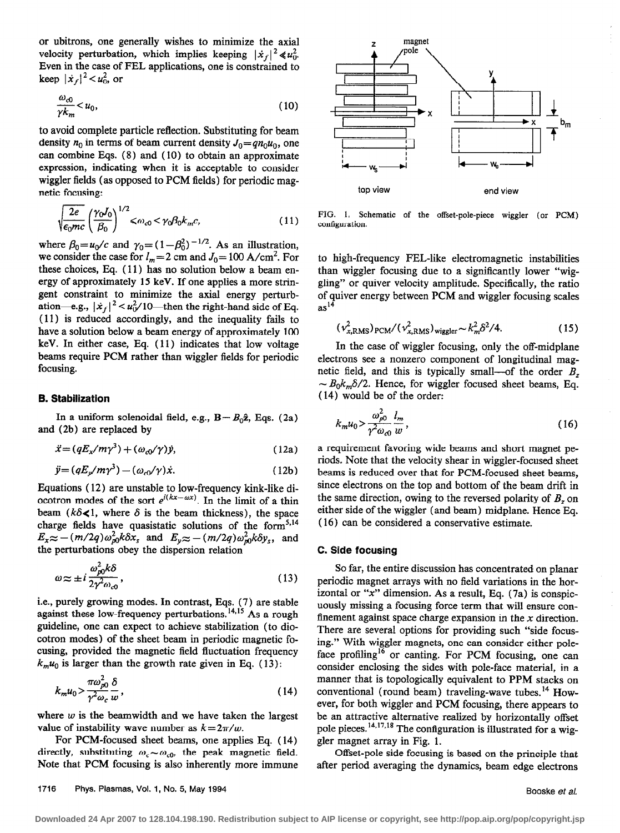or ubitrons, one generally wishes to minimize the axial velocity perturbation, which implies keeping  $|\dot{x}_f|^2 \ll u_0^2$ . Even in the case of FEL applications, one is constrained to keep  $|\dot{x}_f|^2 < u_0^2$ , or

$$
\frac{\omega_{c0}}{\gamma k_m} < u_0,\tag{10}
$$

to avoid complete particle reflection. Substituting for beam density  $n_0$  in terms of beam current density  $J_0=qn_0u_0$ , one can combine Eqs. (8) and (10) to obtain an approximate expression, indicating when it is acceptable to consider wiggler fields (as opposed to PCM fields) for periodic mag netic focusing:

$$
\sqrt{\frac{2e}{\epsilon_0 mc}} \left(\frac{\gamma_0 I_0}{\beta_0}\right)^{1/2} \le \omega_{c0} < \gamma_0 \beta_0 k_m c,
$$
\n(11)

where  $\beta_0 = u_0/c$  and  $\gamma_0 = (1 - \beta_0^2)^{-1/2}$ . As an illustration, we consider the case for  $l_m = 2$  cm and  $J_0 = 100$  A/cm<sup>2</sup>. For these choices, Eq. ( 11) has no solution below a beam energy of approximately 15 keV. If one applies a more stringent constraint to minimize the axial energy perturbation—e.g.,  $|\dot{x}_f|^2 < u_0^2/10$ —then the right-hand side of Eq. ( 11) is reduced accordingly, and the inequality fails to have a solution below a beam energy of approximately 100 keV. In either case, Eq. ( 11) indicates that low voltage beams require PCM rather than wiggler fields for periodic focusing.

### B. Stabilization

In a uniform solenoidal field, e.g.,  $B = B_0 \hat{z}$ , Eqs. (2a) and (2b) are replaced by

$$
\ddot{x} = (qE_x/m\gamma^3) + (\omega_c/\gamma)\dot{y}, \qquad (12a)
$$

$$
\ddot{y} = (qE_{y}/m\gamma^{3}) - (\omega_{c0}/\gamma)\dot{x}.
$$
 (12b)

Equations ( 12) are unstable to low-frequency kink-like diocotron modes of the sort  $e^{i(kx-\omega x)}$ . In the limit of a thin beam ( $k\delta$ <1, where  $\delta$  is the beam thickness), the space charge fields have quasistatic solutions of the form<sup>5,14</sup>  $E_x \approx -(m/2q)\omega_{p0}^2 k \delta x_s$  and  $E_y \approx -(m/2q)\omega_{p0}^2 k \delta y_s$ , and the perturbations obey the dispersion relation

$$
\omega \approx \pm i \frac{\omega_{p0}^2 k \delta}{2 \gamma^2 \omega_{c0}},\tag{13}
$$

i.e., purely growing modes. In contrast, Eqs. (7) are stable against these low-frequency perturbations.<sup>14,15</sup> As a rough guideline, one can expect to achieve stabilization (to diocotron modes) of the sheet beam in periodic magnetic focusing, provided the magnetic field fluctuation frequency  $k_m u_0$  is larger than the growth rate given in Eq. (13):

$$
k_m u_0 > \frac{\pi \omega_{p0}^2}{\gamma^2 \omega_c} \frac{\delta}{w},\tag{14}
$$

where  $w$  is the beamwidth and we have taken the largest value of instability wave number as  $k=2\pi/w$ .

For PCM-focused sheet beams, one applies Eq. ( 14) directly, substituting  $\omega_c \sim \omega_{c0}$ , the peak magnetic field. Note that PCM focusing is also inherently more immune



FIG. 1, Schematic of the offset-pole-piece wiggler (or PCM) configuration.

to high-frequency FEL-like electromagnetic instabilities than wiggler focusing due to a significantly lower "wiggling" or quiver velocity amplitude. Specifically, the ratio of quiver energy between PCM and wiggler focusing scales  $as^{14}$ 

$$
(\nu_{x,\text{RMS}}^2)_{\text{PCM}} / (\nu_{x,\text{RMS}}^2)_{\text{wiggler}} \sim k_m^2 \delta^2 / 4. \tag{15}
$$

In the case of wiggler focusing, only the off-midplane electrons see a nonzero component of longitudinal magnetic field, and this is typically small-of the order  $B_z$  $\sim B_0 k_m \delta/2$ . Hence, for wiggler focused sheet beams, Eq. ( 14) would be of the order:

$$
k_m u_0 > \frac{\omega_{p0}^2}{\gamma^2 \omega_{q0} w}, \tag{16}
$$

a requirement favoring wide beams and short magnet periods. Note that the velocity shear in wiggler-focused sheet beams is reduced over that for PCM-focused sheet beams, since electrons on the top and bottom of the beam drift in the same direction, owing to the reversed polarity of B, on either side of the wiggler (and beam) midplane. Hence Eq. (16) can be considered a conservative estimate.

### C. Slde focusing

So far, the entire discussion has concentrated on planar periodic magnet arrays with no field variations in the horizontal or " $x$ " dimension. As a result, Eq. (7a) is conspicuously missing a focusing force term that will ensure confinement against space charge expansion in the  $x$  direction. There are several options for providing such "side focusing." With wiggler magnets, one can consider either poleface profiling<sup>16</sup> or canting. For PCM focusing, one can consider enclosing the sides with pole-face material, in a manner that is topologically equivalent to PPM stacks on conventional (round beam) traveling-wave tubes.<sup>14</sup> However, for both wiggler and PCM focusing, there appears to be an attractive alternative realized by horizontally offset pole pieces.  $14.17.18$  The configuration is illustrated for a wiggler magnet array in Fig. 1.

Offset-pole side focusing is based on the principle that after period averaging the dynamics, beam edge electrons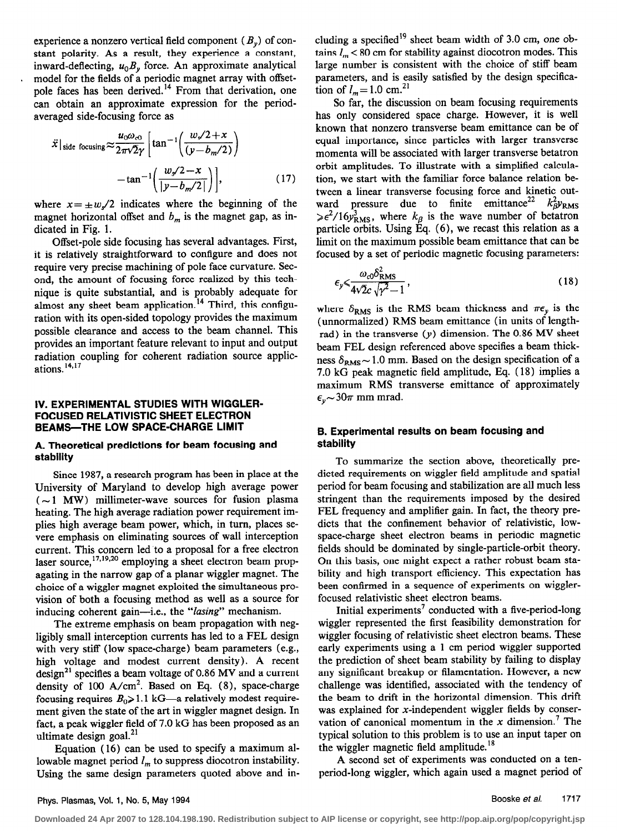experience a nonzero vertical field component  $(B_y)$  of constant polarity. As a result, they experience a constant, inward-deflecting,  $u_0B_y$ , force. An approximate analytical . model for the fields of a periodic magnet array with offsetpole faces has been derived.<sup>14</sup> From that derivation, one can obtain an approximate expression for the periodaveraged side-focusing force as

$$
\ddot{x}|_{\text{side focusing}} \approx \frac{u_0 \omega_{c0}}{2\pi \sqrt{2}\gamma} \left[ \tan^{-1} \left( \frac{w_s/2 + x}{(y - b_m/2)} \right) - \tan^{-1} \left( \frac{w_s/2 - x}{|y - b_m/2|} \right) \right],\tag{17}
$$

where  $x = \pm w\sqrt{2}$  indicates where the beginning of the magnet horizontal offset and  $b<sub>m</sub>$  is the magnet gap, as indicated in Fig. 1.

Offset-pole side focusing has several advantages. First, it is relatively straightforward to configure and does not require very precise machining of pole face curvature. Second, the amount of focusing force realized by this technique is quite substantial, and is probably adequate for almost any sheet beam application.<sup>14</sup> Third, this configuration with its open-sided topology provides the maximum possible clearance and access to the beam channel. This provides an important feature relevant to input and output radiation coupling for coherent radiation source applications.<sup>14,17</sup>

# IV. EXPERIMENTAL STUDIES WITH WIGGLER-FOCUSED RELATIVISTIC SHEET ELECTRON BEAMS-THE LOW SPACE-CHARGE LIMIT

# A. Theoretical predictions for beam focusing and stability

Since 1987, a research program has been in place at the University of Maryland to develop high average power  $(-1)$  MW) millimeter-wave sources for fusion plasma heating. The high average radiation power requirement implies high average beam power, which, in turn, places severe emphasis on eliminating sources of wall interception current. This concern led to a proposal for a free electron laser source, $17,19,20$  employing a sheet electron beam propagating in the narrow gap of a planar wiggler magnet. The choice of a wiggler magnet exploited the simultaneous provision of both a focusing method as well as a source for inducing coherent gain-i.e., the "lasing" mechanism.

The extreme emphasis on beam propagation with negligibly small interception currents has led to a FEL design with very stiff (low space-charge) beam parameters (e.g., high voltage and modest current density). A recent design<sup>21</sup> specifies a beam voltage of 0.86 MV and a current density of 100  $A/cm^2$ . Based on Eq. (8), space-charge focusing requires  $B_0$ > 1.1 kG—a relatively modest requirement given the state of the art in wiggler magnet design. In fact, a peak wiggler field of 7.0 kG has been proposed as an ultimate design goal. $^{21}$ 

Equation ( 16) can be used to specify a maximum allowable magnet period  $l_m$  to suppress diocotron instability. Using the same design parameters quoted above and in-

cluding a specified<sup>19</sup> sheet beam width of 3.0 cm, one obtains  $l_m < 80$  cm for stability against diocotron modes. This large number is consistent with the choice of stiff beam parameters, and is easily satisfied by the design specification of  $l_m = 1.0 \text{ cm.}^{21}$ 

So far, the discussion on beam focusing requirements has only considered space charge. However, it is well known that nonzero transverse beam emittance can be of equal importance, since particles with larger transverse momenta will be associated with larger transverse betatron orbit amplitudes. To illustrate with a simplified calculation, we start with the familiar force balance relation between a linear transverse focusing force and kinetic outward pressure due to finite emittance<sup>22</sup>  $k_B^2 y_{RMS}$  $\geq \epsilon^2/16y_{RMS}^2$ , where  $k_\beta$  is the wave number of betatron particle orbits. Using Eq.  $(6)$ , we recast this relation as a limit on the maximum possible beam emittance that can be focused by a set of periodic magnetic focusing parameters:

$$
\epsilon_{y} \leq \frac{\omega_{c0} \delta_{\rm RMS}^2}{4\sqrt{2}c\sqrt{\gamma^2 - 1}},
$$
\n(18)

where  $\delta_{RMS}$  is the RMS beam thickness and  $\pi\epsilon_y$  is the (unnormalized) RMS beam emittance (in units of lengthrad) in the transverse  $(y)$  dimension. The 0.86 MV sheet beam FEL design referenced above specifies a beam thickness  $\delta_{\rm RMS}$  ~ 1.0 mm. Based on the design specification of a 7.0 kG peak magnetic field amplitude, Eq. ( 18) implies a maximum RMS transverse emittance of approximately  $\epsilon_v$ ~30 $\pi$  mm mrad.

# B. Experimental results on beam focusing and stability

To summarize the section above, theoretically predicted requirements on wiggler field amplitude and spatial period for beam focusing and stabilization are all much less stringent than the requirements imposed by the desired FEL frequency and amplifier gain. In fact, the theory predicts that the confinement behavior of relativistic, lowspace-charge sheet electron beams in periodic magnetic fields should be dominated by single-particle-orbit theory. On this basis, one might expect a rather robust beam stability and high transport efficiency. This expectation has been confirmed in a sequence of experiments on wigglerfocused relativistic sheet electron beams.

Initial experiments<sup>7</sup> conducted with a five-period-long wiggler represented the first feasibility demonstration for wiggler focusing of relativistic sheet electron beams. These early experiments using a 1 cm period wiggler supported the prediction of sheet beam stability by failing to display any significant breakup or filamentation. However, a new challenge was identified, associated with the tendency of the beam to drift in the horizontal dimension. This drift was explained for  $x$ -independent wiggler fields by conservation of canonical momentum in the x dimension.<sup>7</sup> The typical solution to this problem is to use an input taper on the wiggler magnetic field amplitude.<sup>18</sup>

A second set of experiments was conducted on a tenperiod-long wiggler, which again used a magnet period of

**Downloaded 24 Apr 2007 to 128.104.198.190. Redistribution subject to AIP license or copyright, see http://pop.aip.org/pop/copyright.jsp**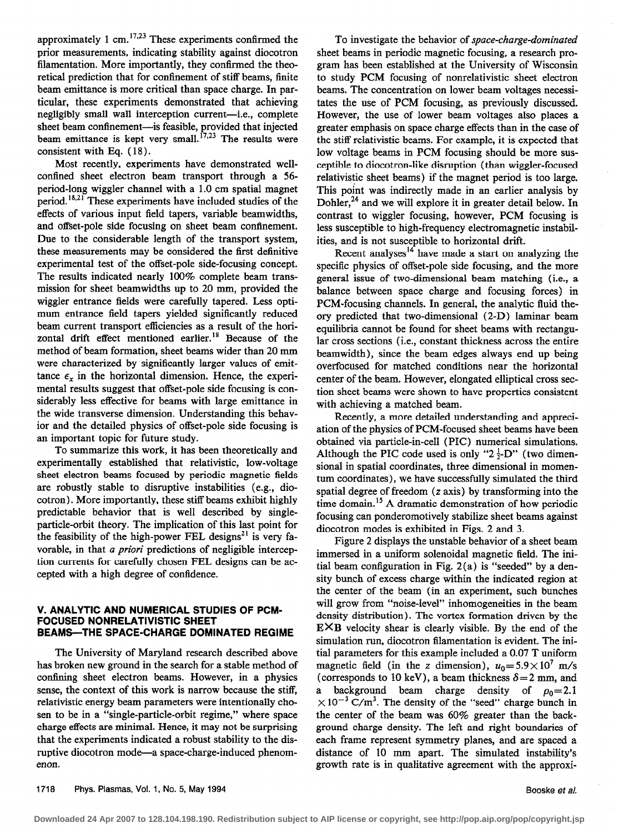approximately 1 cm. $^{17,23}$  These experiments confirmed the prior measurements, indicating stability against diocotron filamentation. More importantly, they confirmed the theoretical prediction that for confinement of stiff beams, finite beam emittance is more critical than space charge. In particular, these experiments demonstrated that achieving negligibly small wall interception current-i.e., complete sheet beam confinement-is feasible, provided that injected beam emittance is kept very small.<sup> $17,23$ </sup> The results were consistent with Eq. ( 18).

Most recently, experiments have demonstrated wellconfined sheet electron beam transport through a 56 period-long wiggler channel with a 1.0 cm spatial magnet period.  $^{18,21}$  These experiments have included studies of the effects of various input field tapers, variable beamwidths, and offset-pole side focusing on sheet beam confinement. Due to the considerable length of the transport system, these measurements may be considered the first definitive experimental test of the offset-pole side-focusing concept. The results indicated nearly 100% complete beam transmission for sheet beamwidths up to 20 mm, provided the wiggler entrance fields were carefully tapered. Less optimum entrance field tapers yielded significantly reduced beam current transport efficiencies as a result of the horizontal drift effect mentioned earlier.<sup>18</sup> Because of the method of beam formation, sheet beams wider than 20 mm were characterized by significantly larger values of emittance  $\epsilon_x$  in the horizontal dimension. Hence, the experimental results suggest that offset-pole side focusing is considerably less effective for beams with large emittance in the wide transverse dimension. Understanding this behavior and the detailed physics of offset-pole side focusing is an important topic for future study.

To summarize this work, it has been theoretically and experimentally established that relativistic, low-voltage sheet electron beams focused by periodic magnetic fields are robustly stable to disruptive instabilities (e.g., diocotron). More importantly, these stiff beams exhibit highly predictable behavior that is well described by singleparticle-orbit theory. The implication of this last point for the feasibility of the high-power FEL designs<sup>21</sup> is very favorable, in that a priori predictions of negligible interception currents for carefully chosen FEL designs can be accepted with a high degree of confidence.

# V. ANALYTIC AND NUMERICAL STUDIES OF PCM-FOCUSED NONRELATIVISTIC SHEET BEAMS-THE SPACE-CHARGE DOMINATED REGIME

The University of Maryland research described above has broken new ground in the search for a stable method of confining sheet electron beams. However, in a physics sense, the context of this work is narrow because the stiff, relativistic energy beam parameters were intentionally chosen to be in a "single-particle-orbit regime," where space charge effects are minimal. Hence, it may not be surprising that the experiments indicated a robust stability to the disruptive diocotron mode-a space-charge-induced phenomenon.

To investigate the behavior of space-charge-dominated sheet beams in periodic magnetic focusing, a research program has been established at the University of Wisconsin to study PCM focusing of nonrelativistic sheet electron beams. The concentration on lower beam voltages necessitates the use of PCM focusing, as previously discussed. However, the use of lower beam voltages also places a greater emphasis on space charge effects than in the case of the stiff relativistic beams. For example, it is expected that low voltage beams in PCM focusing should be more susceptible to diocotron-like disruption (than wiggler-focused relativistic sheet beams) if the magnet period is too large. This point was indirectly made in an earlier analysis by Dohler,24 and we will explore it in greater detail below. In contrast to wiggler focusing, however, PCM focusing is less susceptible to high-frequency electromagnetic instabilities, and is not susceptible to horizontal drift.

Recent analyses<sup>14</sup> have made a start on analyzing the specific physics of offset-pole side focusing, and the more general issue of two-dimensional beam matching (i.e., a balance between space charge and focusing forces) in PCM-focusing channels. In general, the analytic fluid theory predicted that two-dimensional (2-D) laminar beam equilibria cannot be found for sheet beams with rectangular cross sections (i.e., constant thickness across the entire beamwidth), since the beam edges always end up being overfocused for matched conditions near the horizontal center of the beam. However, elongated elliptical cross section sheet beams were shown to have properties consistent with achieving a matched beam.

Recently, a more detailed understanding and appreciation of the physics of PCM-focused sheet beams have been obtained via particle-in-cell (PIC) numerical simulations. Although the PIC code used is only " $2\frac{1}{2}$ -D" (two dimensional in spatial coordinates, three dimensional in momentum coordinates), we have successfully simulated the third spatial degree of freedom (z axis) by transforming into the time domain.<sup>15</sup> A dramatic demonstration of how periodic focusing can ponderomotively stabilize sheet beams against diocotron modes is exhibited in Figs. 2 and 3.

Figure 2 displays the unstable behavior of a sheet beam immersed in a uniform solenoidal magnetic field. The initial beam configuration in Fig. 2(a) is "seeded" by a density bunch of excess charge within the indicated region at the center of the beam (in an experiment, such bunches will grow from "noise-level" inhomogeneities in the beam density distribution). The vortex formation driven by the EXB velocity shear is clearly visible. By the end of the simulation run, diocotron filamentation is evident. The initial parameters for this example included a 0.07 T uniform magnetic field (in the z dimension),  $u_0 = 5.9 \times 10^7$  m/s (corresponds to 10 keV), a beam thickness  $\delta = 2$  mm, and a background beam charge density of  $\rho_0 = 2.1$  $\times 10^{-3}$  C/m<sup>3</sup>. The density of the "seed" charge bunch in the center of the beam was 60% greater than the background charge density. The left and right boundaries of each frame represent symmetry planes, and are spaced a distance of IO mm apart. The simulated instability's growth rate is in qualitative agreement with the approxi-

1718 Phys. Plasmas, Vol. 1, No. 5, May 1994 Booske et al. Booske et al.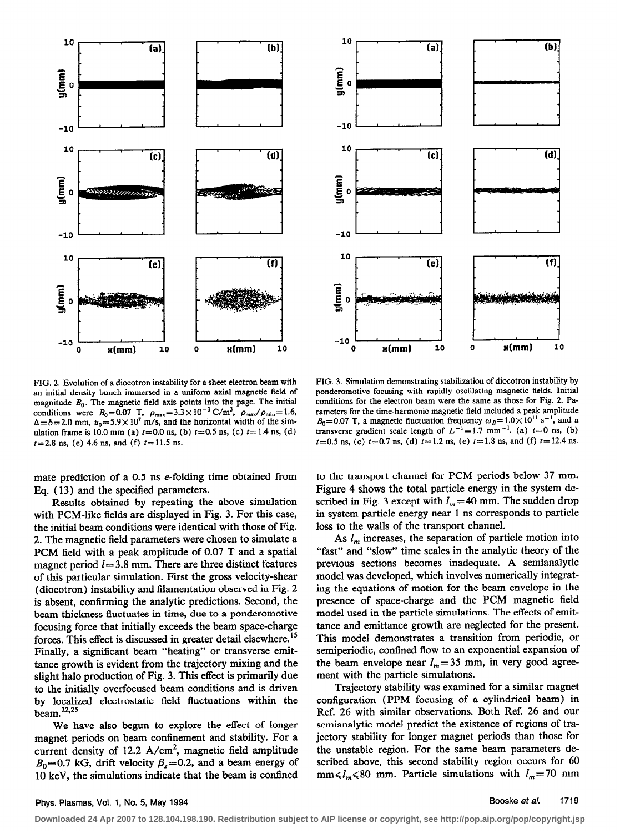



FIG. 2. Evolution of a diocotron instability for a sheet electron beam with an initial density bunch immersed in a uniform axial magnetic field of magnitude  $B_0$ . The magnetic field axis points into the page. The initial conditions were  $B_0 = 0.07$  T,  $\rho_{\text{max}} = 3.3 \times 10^{-3} \text{ C/m}^3$ ,  $\rho_{\text{max}} / \rho_{\text{min}} = 1.6$ ,  $\Delta = \delta = 2.0$  mm,  $u_0 = 5.9 \times 10^7$  m/s, and the horizontal width of the simulation frame is 10.0 mm (a)  $t=0.0$  ns, (b)  $t=0.5$  ns, (c)  $t=1.4$  ns, (d)  $t=2.8$  ns, (e) 4.6 ns, and (f)  $t=11.5$  ns.

mate prediction of a 0.5 ns e-folding time obtained from Eq. ( 13) and the specified parameters.

Results obtained by repeating the above simulation with PCM-like fields are displayed in Fig. 3. For this case, the initial beam conditions were identical with those of Fig. 2. The magnetic field parameters were chosen to simulate a PCM field with a peak amplitude of 0.07 T and a spatial magnet period  $l = 3.8$  mm. There are three distinct features of this particular simulation. First the gross velocity-shear (diocotron) instability and filamentation observed in Fig. 2 is absent, confirming the analytic predictions. Second, the beam thickness fluctuates in time, due to a ponderomotive focusing force that initially exceeds the beam space-charge forces. This effect is discussed in greater detail elsewhere.<sup>15</sup> Finally, a significant beam "heating" or transverse emittance growth is evident from the trajectory mixing and the slight halo production of Fig. 3. This effect is primarily due to the initially overfocused beam conditions and is driven by localized electrostatic field fluctuations within the beam.<sup>22,25</sup>

We have also begun to explore the effect of longer magnet periods on beam confinement and stability. For a current density of 12.2  $A/cm^2$ , magnetic field amplitude  $B_0=0.7$  kG, drift velocity  $\beta_z=0.2$ , and a beam energy of 10 keV, the simulations indicate that the beam is confined

FIG. 3. Simulation demonstrating stabilization of diocotron instability by ponderomotive focusing with rapidly oscillating magnetic fields. Initial conditions for the electron beam were the same as those for Fig. 2. Parameters for the time-harmonic magnetic field included a peak amplitude  $B_0=0.07$  T, a magnetic fluctuation frequency  $\omega_B= 1.0\times 10^{11}$  s<sup>-1</sup>, and a transverse gradient scale length of  $L^{-1} = 1.7$  mm<sup>-1</sup>. (a)  $t=0$  ns, (b)  $t=0.5$  ns, (c)  $t=0.7$  ns, (d)  $t=1.2$  ns, (e)  $t=1.8$  ns, and (f)  $t=12.4$  ns.

to the transport channel for PCM periods below 37 mm. Figure 4 shows the total particle energy in the system described in Fig. 3 except with  $l_m=40$  mm. The sudden drop in system particle energy near 1 ns corresponds to particle loss to the walls of the transport channel.

As  $I_m$  increases, the separation of particle motion into "fast" and "slow" time scales in the analytic theory of the previous sections becomes inadequate. A semianalytic model was developed, which involves numerically integrating the equations of motion for the beam envelope in the presence of space-charge and the PCM magnetic field model used in the particle simulations. The effects of emittance and emittance growth are neglected for the present. This model demonstrates a transition from periodic, or semiperiodic, confined flow to an exponential expansion of the beam envelope near  $l_m=35$  mm, in very good agreement with the particle simulations.

Trajectory stability was examined for a similar magnet configuration (PPM focusing of a cylindrical beam) in Ref. 26 with similar observations. Both Ref. 26 and our semianalytic model predict the existence of regions of trajectory stability for longer magnet periods than those for the unstable region. For the same beam parameters described above, this second stability region occurs for 60  $mm \le l_m \le 80$  mm. Particle simulations with  $l_m=70$  mm

#### Phys. Plasmas, Vol. 1, No. 5, May 1994

**Downloaded 24 Apr 2007 to 128.104.198.190. Redistribution subject to AIP license or copyright, see http://pop.aip.org/pop/copyright.jsp**